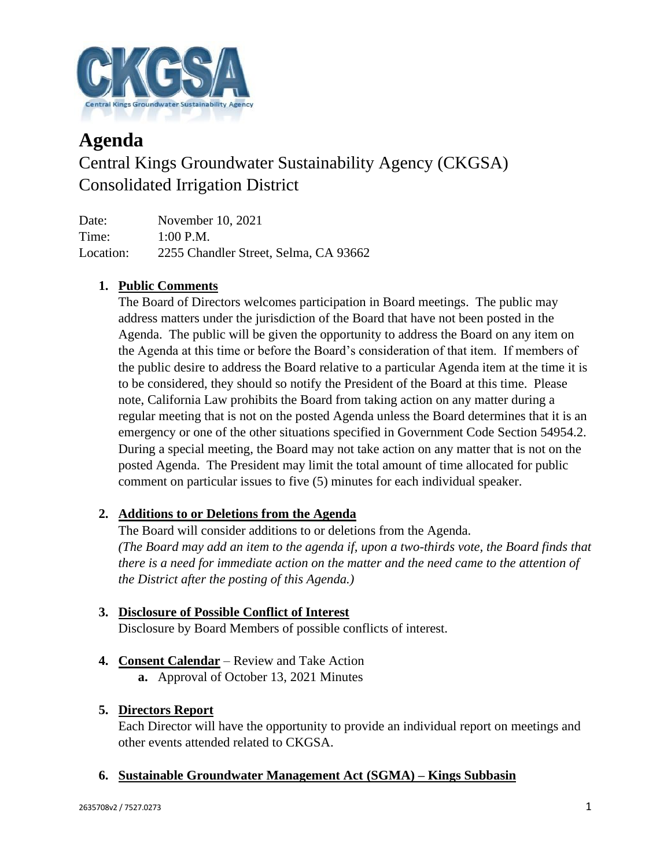

# **Agenda** Central Kings Groundwater Sustainability Agency (CKGSA) Consolidated Irrigation District

Date: November 10, 2021 Time: 1:00 P.M. Location: 2255 Chandler Street, Selma, CA 93662

# **1. Public Comments**

The Board of Directors welcomes participation in Board meetings. The public may address matters under the jurisdiction of the Board that have not been posted in the Agenda. The public will be given the opportunity to address the Board on any item on the Agenda at this time or before the Board's consideration of that item. If members of the public desire to address the Board relative to a particular Agenda item at the time it is to be considered, they should so notify the President of the Board at this time. Please note, California Law prohibits the Board from taking action on any matter during a regular meeting that is not on the posted Agenda unless the Board determines that it is an emergency or one of the other situations specified in Government Code Section 54954.2. During a special meeting, the Board may not take action on any matter that is not on the posted Agenda. The President may limit the total amount of time allocated for public comment on particular issues to five (5) minutes for each individual speaker.

# **2. Additions to or Deletions from the Agenda**

The Board will consider additions to or deletions from the Agenda. *(The Board may add an item to the agenda if, upon a two-thirds vote, the Board finds that there is a need for immediate action on the matter and the need came to the attention of the District after the posting of this Agenda.)*

# **3. Disclosure of Possible Conflict of Interest**

Disclosure by Board Members of possible conflicts of interest.

- **4. Consent Calendar** Review and Take Action
	- **a.** Approval of October 13, 2021 Minutes

## **5. Directors Report**

Each Director will have the opportunity to provide an individual report on meetings and other events attended related to CKGSA.

## **6. Sustainable Groundwater Management Act (SGMA) – Kings Subbasin**